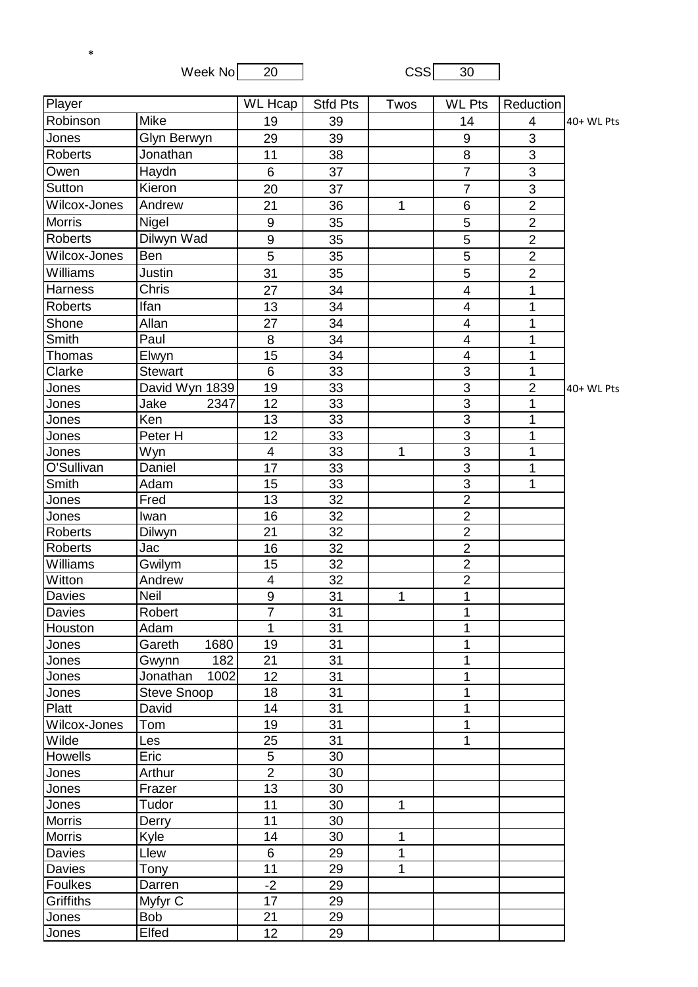Week No 20 20 CSS 30

\*

| Player         |                                        | WL Hcap                  | <b>Stfd Pts</b> | Twos         | <b>WL Pts</b>           | Reduction      |            |
|----------------|----------------------------------------|--------------------------|-----------------|--------------|-------------------------|----------------|------------|
| Robinson       | Mike                                   | 19                       | 39              |              | 14                      | 4              | 40+ WL Pts |
| Jones          | <b>Glyn Berwyn</b>                     | 29                       | 39              |              | 9                       | 3              |            |
| Roberts        | Jonathan                               | 11                       | 38              |              | $\overline{8}$          | $\overline{3}$ |            |
| Owen           | Haydn                                  | 6                        | 37              |              | $\overline{7}$          | 3              |            |
| Sutton         | Kieron                                 | 20                       | 37              |              | $\overline{7}$          | 3              |            |
| Wilcox-Jones   | Andrew                                 | 21                       | 36              | 1            | 6                       | $\overline{2}$ |            |
| <b>Morris</b>  | Nigel                                  | $9\,$                    | 35              |              | 5                       | $\overline{2}$ |            |
| <b>Roberts</b> | Dilwyn Wad                             | 9                        | 35              |              | $\overline{5}$          | $\overline{2}$ |            |
| Wilcox-Jones   | <b>Ben</b>                             | 5                        | 35              |              | 5                       | $\overline{2}$ |            |
| Williams       | Justin                                 | 31                       | 35              |              | 5                       | $\overline{2}$ |            |
| <b>Harness</b> | Chris                                  | 27                       | 34              |              | 4                       | 1              |            |
| <b>Roberts</b> | Ifan                                   | 13                       | 34              |              | 4                       | 1              |            |
| Shone          | Allan                                  | 27                       | 34              |              | $\overline{\mathbf{4}}$ | 1              |            |
| Smith          | Paul                                   | 8                        | 34              |              | 4                       | 1              |            |
| Thomas         | Elwyn                                  | 15                       | 34              |              | 4                       | 1              |            |
| Clarke         | <b>Stewart</b>                         | 6                        | 33              |              | $\overline{3}$          | 1              |            |
| Jones          | David Wyn 1839                         | 19                       | 33              |              | $\overline{3}$          | $\overline{2}$ | 40+ WL Pts |
| Jones          | Jake<br>2347                           | 12                       | 33              |              | $\overline{3}$          | 1              |            |
| Jones          | Ken                                    | 13                       | 33              |              | $\overline{3}$          | 1              |            |
| Jones          | Peter H                                | 12                       | 33              |              | $\overline{3}$          | 1              |            |
| Jones          | Wyn                                    | $\overline{4}$           | 33              | $\mathbf{1}$ | $\overline{3}$          | 1              |            |
| O'Sullivan     | Daniel                                 | 17                       | 33              |              | $\overline{3}$          | $\mathbf{1}$   |            |
| Smith          | Adam                                   | 15                       | 33              |              | $\overline{3}$          | 1              |            |
| Jones          | Fred                                   | 13                       | 32              |              | $\overline{2}$          |                |            |
| Jones          | Iwan                                   | 16                       | 32              |              | $\overline{2}$          |                |            |
| Roberts        | Dilwyn                                 | 21                       | 32              |              | $\overline{2}$          |                |            |
| <b>Roberts</b> | Jac                                    | 16                       | 32              |              | $\overline{2}$          |                |            |
| Williams       | Gwilym                                 | 15                       | 32              |              | $\overline{2}$          |                |            |
| Witton         | Andrew                                 | $\overline{\mathcal{A}}$ | 32              |              | $\overline{2}$          |                |            |
| Davies         | Neil                                   | $\boldsymbol{9}$         | 31              | 1            | 1                       |                |            |
| Davies         | Robert                                 | $\overline{7}$           | 31              |              | 1                       |                |            |
| Houston        | Adam                                   | $\mathbf{1}$             | 31              |              | 1                       |                |            |
| Jones          | Gareth<br>1680                         | 19                       | 31              |              | 1                       |                |            |
| Jones          | 182<br>Gwynn                           | 21                       | 31              |              | 1                       |                |            |
| Jones<br>Jones | Jonathan<br>1002<br><b>Steve Snoop</b> | 12<br>18                 | 31<br>31        |              | 1<br>1                  |                |            |
| Platt          | David                                  | 14                       | 31              |              | 1                       |                |            |
| Wilcox-Jones   | Tom                                    | 19                       | 31              |              | 1                       |                |            |
| Wilde          | Les                                    | 25                       | 31              |              | 1                       |                |            |
| <b>Howells</b> | Eric                                   | 5                        | 30              |              |                         |                |            |
| Jones          | Arthur                                 | $\overline{2}$           | 30              |              |                         |                |            |
| Jones          | Frazer                                 | 13                       | 30              |              |                         |                |            |
| Jones          | Tudor                                  | 11                       | 30              | 1            |                         |                |            |
| <b>Morris</b>  | Derry                                  | 11                       | 30              |              |                         |                |            |
| <b>Morris</b>  | Kyle                                   | 14                       | 30              | 1            |                         |                |            |
| Davies         | Llew                                   | 6                        | 29              | 1            |                         |                |            |
| Davies         | Tony                                   | 11                       | 29              | 1            |                         |                |            |
| Foulkes        | Darren                                 | $-2$                     | 29              |              |                         |                |            |
| Griffiths      | Myfyr C                                | 17                       | 29              |              |                         |                |            |
| Jones          | <b>Bob</b>                             | 21                       | 29              |              |                         |                |            |
| Jones          | Elfed                                  | 12                       | 29              |              |                         |                |            |